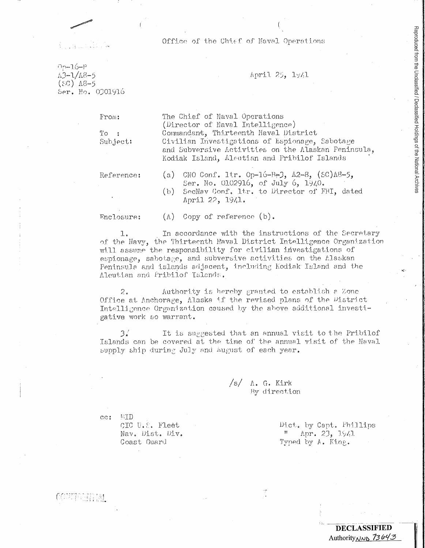Office of the Chief of Naval Operations

 $00 - 16 - P$  $A3 - 1/A8 - 5$  $(SC)$   $A8-5$ Ser. No. 0301916

## April 25, 1941

From:

 $To:$ Subject: The Chief of Naval Operations (Director of Naval Intelligence) Commandant, Thirteenth Naval District Civilian Investigations of Espionage, Sabotage and Subversive Activities on the Alaskan Peninsula, Kodiak Island, Aleutian and Pribilof Islands

Reference:

CNO Conf. ltr. Op-16-B-3,  $A2-8$ , (SC) $A8-5$ , (a) Ser. No. 0102916, of July 6, 1940. SecNav Conf. ltr. to Director of FBI, dated  $(b)$ April 22, 1941.

Enclosure:

 $(\Lambda)$  Copy of reference  $(b)$ .

In accordance with the instructions of the Secretary 1. of the Navy, the Thirteenth Naval District Intelligence Organization will assume the responsibility for civilian investigations of espionage, sabotage, and subversive activities on the Alaskan Peninsula and islands adjacent, including Kodiak Island and the Aleutian and Pribilof Islands.

Authority is hereby granted to establish a Zone  $2.$ Office at Anchorage, Alaska if the revised plans of the District Intelligence Organization caused by the above additional investigative work so warrant.

 $3<sub>1</sub>$ It is suggested that an annual visit to the Pribilof Islands can be covered at the time of the annual visit of the Naval supply ship during July and August of each year.

> $/s/$   $\Lambda$ . G. Kirk By direction

 $cc:$ MID

covribeirial

CIC U.S. Fleet Nav. Dist. Div. Coast Guard

Dict. by Capt. Phillips  $^{\prime\prime}$  Apr. 23, 1941 Typed by A. King.

## **DECLASSIFIED** Authority<sub>NND</sub> 73643

Reproduced from the Unclassified / Declassified Holdings of the National Archives